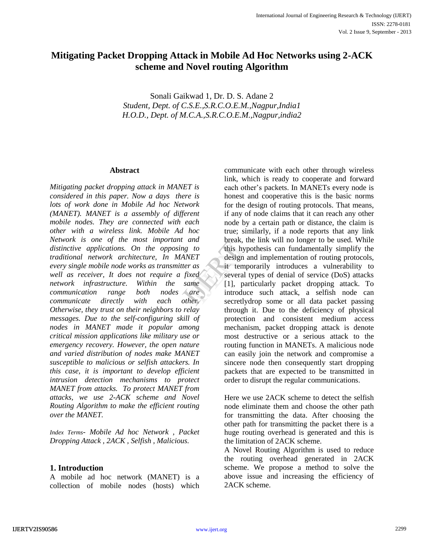# **Mitigating Packet Dropping Attack in Mobile Ad Hoc Networks using 2-ACK scheme and Novel routing Algorithm**

Sonali Gaikwad 1, Dr. D. S. Adane 2 *Student, Dept. of C.S.E.,S.R.C.O.E.M.,Nagpur,India1 H.O.D., Dept. of M.C.A.,S.R.C.O.E.M.,Nagpur,india2*

#### **Abstract**

*Mitigating packet dropping attack in MANET is considered in this paper. Now a days there is lots of work done in Mobile Ad hoc Network (MANET). MANET is a assembly of different mobile nodes. They are connected with each other with a wireless link. Mobile Ad hoc Network is one of the most important and distinctive applications. On the opposing to traditional network architecture, In MANET every single mobile node works as transmitter as well as receiver, It does not require a fixed network infrastructure. Within the same communication range both nodes are communicate directly with each other. Otherwise, they trust on their neighbors to relay messages. Due to the self-configuring skill of nodes in MANET made it popular among critical mission applications like military use or emergency recovery. However, the open nature and varied distribution of nodes make MANET susceptible to malicious or selfish attackers. In this case, it is important to develop efficient intrusion detection mechanisms to protect MANET from attacks. To protect MANET from attacks, we use 2-ACK scheme and Novel Routing Algorithm to make the efficient routing over the MANET.*

*Index Terms- Mobile Ad hoc Network , Packet Dropping Attack , 2ACK , Selfish , Malicious.*

# **1. Introduction**

A mobile ad hoc network (MANET) is a collection of mobile nodes (hosts) which

communicate with each other through wireless link, which is ready to cooperate and forward each other's packets. In MANETs every node is honest and cooperative this is the basic norms for the design of routing protocols. That means, if any of node claims that it can reach any other node by a certain path or distance, the claim is true; similarly, if a node reports that any link break, the link will no longer to be used. While this hypothesis can fundamentally simplify the design and implementation of routing protocols, it temporarily introduces a vulnerability to several types of denial of service (DoS) attacks [1], particularly packet dropping attack. To introduce such attack, a selfish node can secretlydrop some or all data packet passing through it. Due to the deficiency of physical protection and consistent medium access mechanism, packet dropping attack is denote most destructive or a serious attack to the routing function in MANETs. A malicious node can easily join the network and compromise a sincere node then consequently start dropping packets that are expected to be transmitted in order to disrupt the regular communications. and break, the<br> *ICT*<br> *IET*<br> *ICT*<br> *ICT*<br> *ICT*<br> *ICT*<br> *ICT*<br> *ICT*<br> *ICT*<br> *ICT*<br> *ICT*<br> *ICT*<br> *ICT*<br> *ICT*<br> *ICT*<br> *ICT*<br> *ICT*<br> *ICT*<br> *ICT*<br> *ICT*<br> *ICT*<br> *ICT*<br> *ICT*<br> *ICT*<br> *ICT*<br>
<br> *ICTT*<br>
<br>
<br>
<br>
<br>
<br>
<br>
<br>

> Here we use 2ACK scheme to detect the selfish node eliminate them and choose the other path for transmitting the data. After choosing the other path for transmitting the packet there is a huge routing overhead is generated and this is the limitation of 2ACK scheme.

> A Novel Routing Algorithm is used to reduce the routing overhead generated in 2ACK scheme. We propose a method to solve the above issue and increasing the efficiency of 2ACK scheme.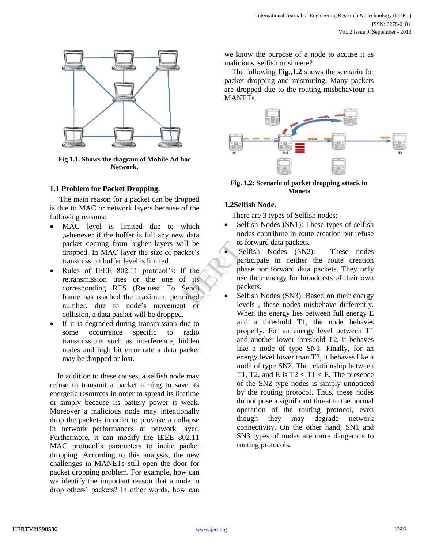

**Fig 1.1. Shows the diagram of Mobile Ad hoc Network.**

## **1.1 Problem for Packet Dropping.**

The main reason for a packet can be dropped is due to MAC or network layers because of the following reasons:

- MAC level is limited due to which ,whenever if the buffer is full any new data packet coming from higher layers will be dropped. In MAC layer the size of packet's transmission buffer level is limited.
- Rules of IEEE 802.11 protocol's: If the retransmission tries or the one of its corresponding RTS (Request To Send) frame has reached the maximum permitted number, due to node's movement or collision, a data packet will be dropped.
- If it is degraded during transmission due to some occurrence specific to radio transmissions such as interference, hidden nodes and high bit error rate a data packet may be dropped or lost.

In addition to these causes, a selfish node may refuse to transmit a packet aiming to save its energetic resources in order to spread its lifetime or simply because its battery power is weak. Moreover a malicious node may intentionally drop the packets in order to provoke a collapse in network performances at network layer. Furthermore, it can modify the IEEE 802.11 MAC protocol's parameters to incite packet dropping. According to this analysis, the new challenges in MANETs still open the door for packet dropping problem. For example, how can we identify the important reason that a node to drop others' packets? In other words, how can we know the purpose of a node to accuse it as malicious, selfish or sincere?

The following **Fig.,1.2** shows the scenario for packet dropping and misrouting. Many packets are dropped due to the routing misbehaviour in MANETs.



**Fig. 1.2: Scenario of packet dropping attack in Manets**

### **1.2Selfish Node.**

There are 3 types of Selfish nodes:

- Selfish Nodes (SN1): These types of selfish nodes contribute in route creation but refuse to forward data packets.
- Selfish Nodes (SN2): These nodes participate in neither the route creation phase nor forward data packets. They only use their energy for broadcasts of their own packets. be to for<br>
et's Selfis<br>
the phase<br>
its use the phase<br>
ited Selfis<br>
layed Island
	- Selfish Nodes (SN3): Based on their energy levels , these nodes misbehave differently. When the energy lies between full energy E and a threshold T1, the node behaves properly. For an energy level between T1 and another lower threshold T2, it behaves like a node of type SN1. Finally, for an energy level lower than T2, it behaves like a node of type SN2. The relationship between T1, T2, and E is  $T2 < T1 < E$ . The presence of the SN2 type nodes is simply unnoticed by the routing protocol. Thus, these nodes do not pose a significant threat to the normal operation of the routing protocol, even though they may degrade network connectivity. On the other hand, SN1 and SN3 types of nodes are more dangerous to routing protocols.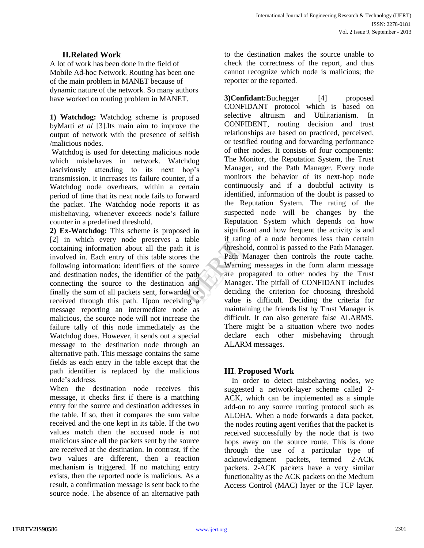# **II.Related Work**

A lot of work has been done in the field of Mobile Ad-hoc Network. Routing has been one of the main problem in MANET because of dynamic nature of the network. So many authors have worked on routing problem in MANET.

**1) Watchdog:** Watchdog scheme is proposed byMarti *et al* [3].Its main aim to improve the output of network with the presence of selfish /malicious nodes.

Watchdog is used for detecting malicious node which misbehaves in network. Watchdog lasciviously attending to its next hop's transmission. It increases its failure counter, if a Watchdog node overhears, within a certain period of time that its next node fails to forward the packet. The Watchdog node reports it as misbehaving, whenever exceeds node's failure counter in a predefined threshold.

**2) Ex-Watchdog:** This scheme is proposed in [2] in which every node preserves a table containing information about all the path it is involved in. Each entry of this table stores the following information: identifiers of the source and destination nodes, the identifier of the path connecting the source to the destination and finally the sum of all packets sent, forwarded or received through this path. Upon receiving a message reporting an intermediate node as malicious, the source node will not increase the failure tally of this node immediately as the Watchdog does. However, it sends out a special message to the destination node through an alternative path. This message contains the same fields as each entry in the table except that the path identifier is replaced by the malicious node's address.

When the destination node receives this message, it checks first if there is a matching entry for the source and destination addresses in the table. If so, then it compares the sum value received and the one kept in its table. If the two values match then the accused node is not malicious since all the packets sent by the source are received at the destination. In contrast, if the two values are different, then a reaction mechanism is triggered. If no matching entry exists, then the reported node is malicious. As a result, a confirmation message is sent back to the source node. The absence of an alternative path

to the destination makes the source unable to check the correctness of the report, and thus cannot recognize which node is malicious; the reporter or the reported.

**3)Confidant:**Buchegger [4] proposed CONFIDANT protocol which is based on selective altruism and Utilitarianism. In CONFIDENT, routing decision and trust relationships are based on practiced, perceived, or testified routing and forwarding performance of other nodes. It consists of four components: The Monitor, the Reputation System, the Trust Manager, and the Path Manager. Every node monitors the behavior of its next-hop node continuously and if a doubtful activity is identified, information of the doubt is passed to the Reputation System. The rating of the suspected node will be changes by the Reputation System which depends on how significant and how frequent the activity is and if rating of a node becomes less than certain threshold, control is passed to the Path Manager. Path Manager then controls the route cache. Warning messages in the form alarm message are propagated to other nodes by the Trust Manager. The pitfall of CONFIDANT includes deciding the criterion for choosing threshold value is difficult. Deciding the criteria for maintaining the friends list by Trust Manager is difficult. It can also generate false ALARMS. There might be a situation where two nodes declare each other misbehaving through ALARM messages. The Terms of the Path Mand<br>
The Path Man<br>
International Manager.<br>
The Manager of Manager.<br>
The Manager of Manager.<br>
The Manager of Manager.<br>
The Manager of Manager.<br>
The deciding<br>
path of deciding<br>
value is

# **III**. **Proposed Work**

In order to detect misbehaving nodes, we suggested a network-layer scheme called 2- ACK, which can be implemented as a simple add-on to any source routing protocol such as ALOHA. When a node forwards a data packet, the nodes routing agent verifies that the packet is received successfully by the node that is two hops away on the source route. This is done through the use of a particular type of acknowledgment packets, termed 2-ACK packets. 2-ACK packets have a very similar functionality as the ACK packets on the Medium Access Control (MAC) layer or the TCP layer.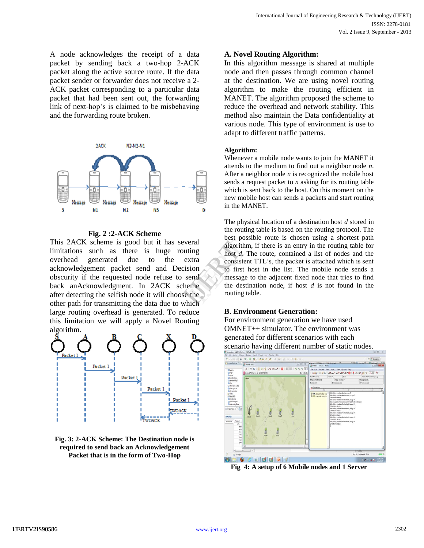A node acknowledges the receipt of a data packet by sending back a two-hop 2-ACK packet along the active source route. If the data packet sender or forwarder does not receive a 2- ACK packet corresponding to a particular data packet that had been sent out, the forwarding link of next-hop's is claimed to be misbehaving and the forwarding route broken.



**Fig. 2 :2-ACK Scheme**

This 2ACK scheme is good but it has several limitations such as there is huge routing overhead generated due to the extra acknowledgement packet send and Decision obscurity if the requested node refuse to send back anAcknowledgment. In 2ACK scheme after detecting the selfish node it will choose the other path for transmitting the data due to which large routing overhead is generated. To reduce this limitation we will apply a Novel Routing algorithm.



**Fig. 3: 2-ACK Scheme: The Destination node is required to send back an Acknowledgement Packet that is in the form of Two-Hop**

#### **A. Novel Routing Algorithm:**

In this algorithm message is shared at multiple node and then passes through common channel at the destination. We are using novel routing algorithm to make the routing efficient in MANET. The algorithm proposed the scheme to reduce the overhead and network stability. This method also maintain the Data confidentiality at various node. This type of environment is use to adapt to different traffic patterns.

#### **Algorithm:**

Whenever a mobile node wants to join the MANET it attends to the medium to find out a neighbor node *n*. After a neighbor node *n* is recognized the mobile host sends a request packet to *n* asking for its routing table which is sent back to the host. On this moment on the new mobile host can sends a packets and start routing in the MANET.

The physical location of a destination host *d* stored in the routing table is based on the routing protocol. The best possible route is chosen using a shortest path algorithm, if there is an entry in the routing table for host *d*. The route, contained a list of nodes and the consistent TTL's, the packet is attached which is sent to first host in the list. The mobile node sends a message to the adjacent fixed node that tries to find the destination node, if host *d* is not found in the routing table. eral<br>
ling<br>
ling<br>
ling<br>
host *d*. Th<br>
consistent<br>
sion<br>
to first ho<br>
message to<br>
the destina<br>
the<br>
pointing tab<br>
identified<br>
the destinant<br>
discriming to<br>
the destina<br>
conting tab<br>
discriming tab

### **B. Environment Generation:**

For environment generation we have used OMNET++ simulator. The environment was generated for different scenarios with each scenario having different number of static nodes.



**Fig 4: A setup of 6 Mobile nodes and 1 Server**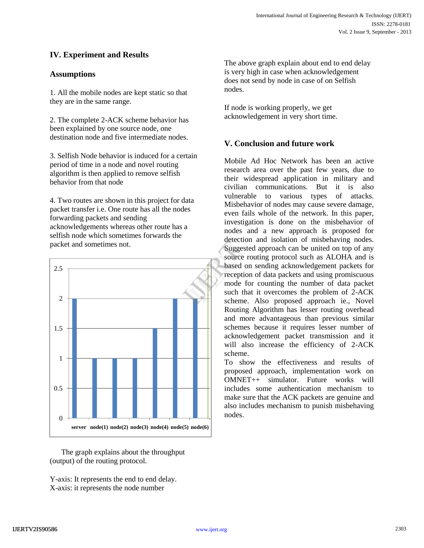# **IV. Experiment and Results**

# **Assumptions**

1. All the mobile nodes are kept static so that they are in the same range.

2. The complete 2-ACK scheme behavior has been explained by one source node, one destination node and five intermediate nodes.

3. Selfish Node behavior is induced for a certain period of time in a node and novel routing algorithm is then applied to remove selfish behavior from that node

4. Two routes are shown in this project for data packet transfer i.e. One route has all the nodes forwarding packets and sending acknowledgements whereas other route has a selfish node which sometimes forwards the packet and sometimes not.



 The graph explains about the throughput (output) of the routing protocol.

Y-axis: It represents the end to end delay. X-axis: it represents the node number

The above graph explain about end to end delay is very high in case when acknowledgement does not send by node in case of on Selfish nodes.

If node is working properly, we get acknowledgement in very short time.

## **V. Conclusion and future work**

Mobile Ad Hoc Network has been an active research area over the past few years, due to their widespread application in military and civilian communications. But it is also vulnerable to various types of attacks. Misbehavior of nodes may cause severe damage, even fails whole of the network. In this paper, investigation is done on the misbehavior of nodes and a new approach is proposed for detection and isolation of misbehaving nodes. Suggested approach can be united on top of any source routing protocol such as ALOHA and is based on sending acknowledgement packets for reception of data packets and using promiscuous mode for counting the number of data packet such that it overcomes the problem of 2-ACK scheme. Also proposed approach ie., Novel Routing Algorithm has lesser routing overhead and more advantageous than previous similar schemes because it requires lesser number of acknowledgement packet transmission and it will also increase the efficiency of 2-ACK scheme. detection<br>
Suggested<br>
source rou<br>
based on<br>
reception<br>
mode for<br>
such that<br>
scheme.

> To show the effectiveness and results of proposed approach, implementation work on OMNET++ simulator. Future works will includes some authentication mechanism to make sure that the ACK packets are genuine and also includes mechanism to punish misbehaving nodes.